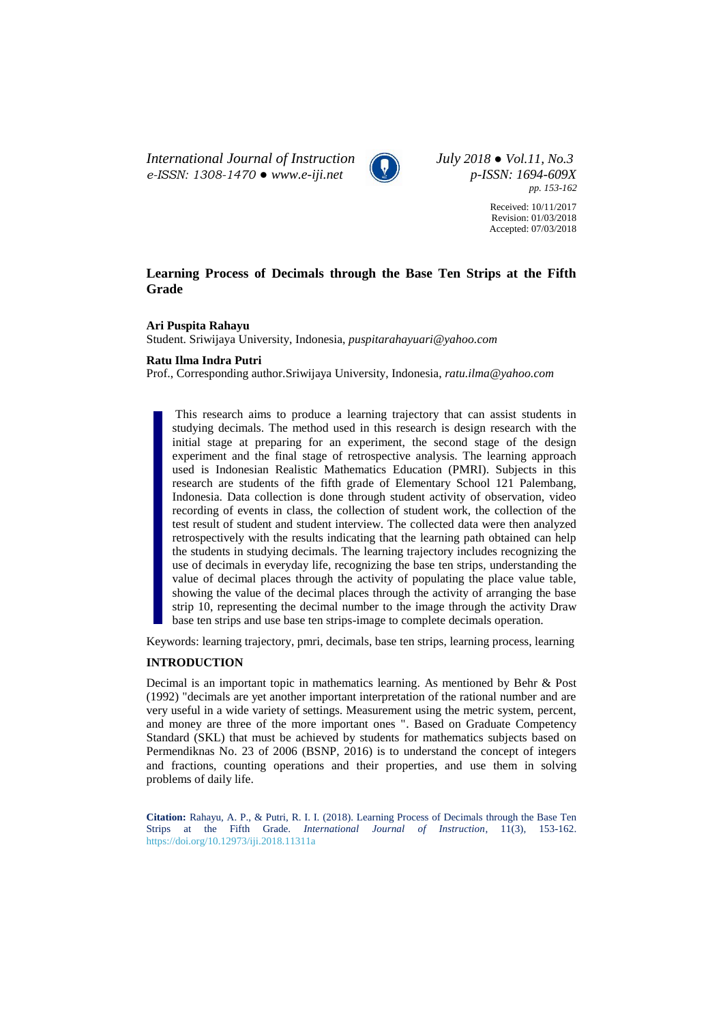*International Journal of Instruction July 2018 ● Vol.11, No.3 e-ISSN: 1308-1470 ● [www.e-iji.net](http://www.e-iji.net/) p-ISSN: 1694-609X*



*pp. 153-162*

Received: 10/11/2017 Revision: 01/03/2018 Accepted: 07/03/2018

# **Learning Process of Decimals through the Base Ten Strips at the Fifth Grade**

## **Ari Puspita Rahayu**

Student. Sriwijaya University, Indonesia, *puspitarahayuari@yahoo.com*

#### **Ratu Ilma Indra Putri**

Prof., Corresponding author.Sriwijaya University, Indonesia, *ratu.ilma@yahoo.com*

This research aims to produce a learning trajectory that can assist students in studying decimals. The method used in this research is design research with the initial stage at preparing for an experiment, the second stage of the design experiment and the final stage of retrospective analysis. The learning approach used is Indonesian Realistic Mathematics Education (PMRI). Subjects in this research are students of the fifth grade of Elementary School 121 Palembang, Indonesia. Data collection is done through student activity of observation, video recording of events in class, the collection of student work, the collection of the test result of student and student interview. The collected data were then analyzed retrospectively with the results indicating that the learning path obtained can help the students in studying decimals. The learning trajectory includes recognizing the use of decimals in everyday life, recognizing the base ten strips, understanding the value of decimal places through the activity of populating the place value table, showing the value of the decimal places through the activity of arranging the base strip 10, representing the decimal number to the image through the activity Draw base ten strips and use base ten strips-image to complete decimals operation.

Keywords: learning trajectory, pmri, decimals, base ten strips, learning process, learning

## **INTRODUCTION**

Decimal is an important topic in mathematics learning. As mentioned by Behr & Post (1992) "decimals are yet another important interpretation of the rational number and are very useful in a wide variety of settings. Measurement using the metric system, percent, and money are three of the more important ones ". Based on Graduate Competency Standard (SKL) that must be achieved by students for mathematics subjects based on Permendiknas No. 23 of 2006 (BSNP, 2016) is to understand the concept of integers and fractions, counting operations and their properties, and use them in solving problems of daily life.

**Citation:** Rahayu, A. P., & Putri, R. I. I. (2018). Learning Process of Decimals through the Base Ten Strips at the Fifth Grade. *International Journal of Instruction*, 11(3), 153-162. <https://doi.org/10.12973/iji.2018.11311a>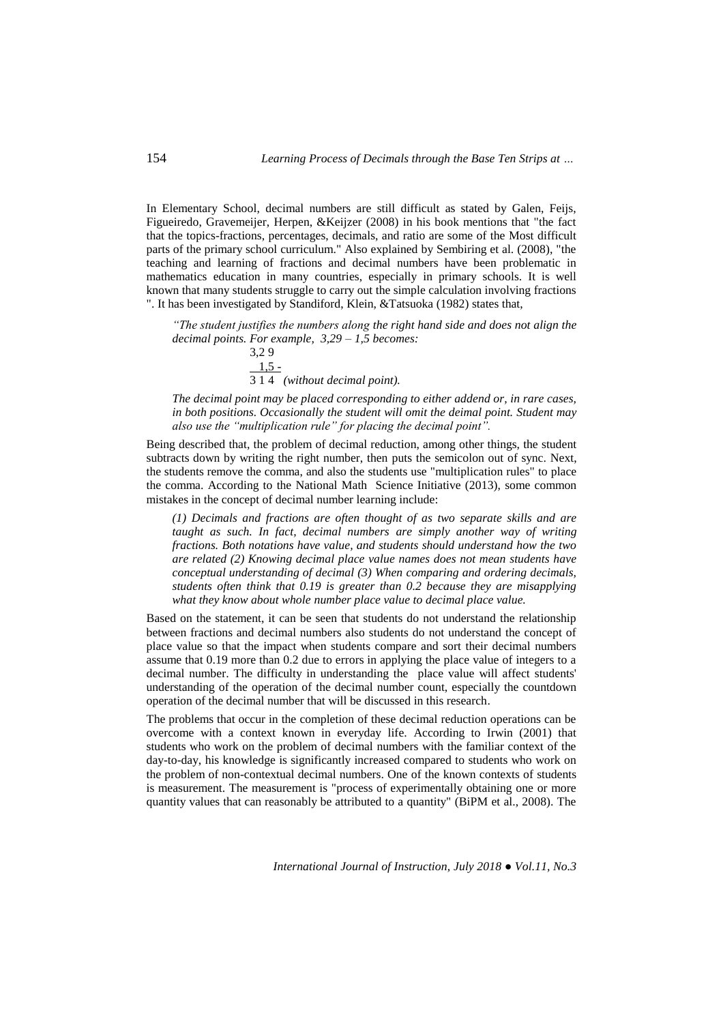In Elementary School, decimal numbers are still difficult as stated by Galen, Feijs, Figueiredo, Gravemeijer, Herpen, &Keijzer (2008) in his book mentions that "the fact that the topics-fractions, percentages, decimals, and ratio are some of the Most difficult parts of the primary school curriculum." Also explained by Sembiring et al. (2008), "the teaching and learning of fractions and decimal numbers have been problematic in mathematics education in many countries, especially in primary schools. It is well known that many students struggle to carry out the simple calculation involving fractions ". It has been investigated by Standiford, Klein, &Tatsuoka (1982) states that,

*"The student justifies the numbers along the right hand side and does not align the decimal points. For example, 3,29 – 1,5 becomes:*

> 3,2 9  $1,5$  -3 1 4 *(without decimal point).*

*The decimal point may be placed corresponding to either addend or, in rare cases, in both positions. Occasionally the student will omit the deimal point. Student may also use the "multiplication rule" for placing the decimal point".*

Being described that, the problem of decimal reduction, among other things, the student subtracts down by writing the right number, then puts the semicolon out of sync. Next, the students remove the comma, and also the students use "multiplication rules" to place the comma. According to the National Math Science Initiative (2013), some common mistakes in the concept of decimal number learning include:

*(1) Decimals and fractions are often thought of as two separate skills and are taught as such. In fact, decimal numbers are simply another way of writing fractions. Both notations have value, and students should understand how the two are related (2) Knowing decimal place value names does not mean students have conceptual understanding of decimal (3) When comparing and ordering decimals, students often think that 0.19 is greater than 0.2 because they are misapplying what they know about whole number place value to decimal place value.*

Based on the statement, it can be seen that students do not understand the relationship between fractions and decimal numbers also students do not understand the concept of place value so that the impact when students compare and sort their decimal numbers assume that 0.19 more than 0.2 due to errors in applying the place value of integers to a decimal number. The difficulty in understanding the place value will affect students' understanding of the operation of the decimal number count, especially the countdown operation of the decimal number that will be discussed in this research.

The problems that occur in the completion of these decimal reduction operations can be overcome with a context known in everyday life. According to Irwin (2001) that students who work on the problem of decimal numbers with the familiar context of the day-to-day, his knowledge is significantly increased compared to students who work on the problem of non-contextual decimal numbers. One of the known contexts of students is measurement. The measurement is "process of experimentally obtaining one or more quantity values that can reasonably be attributed to a quantity" (BiPM et al., 2008). The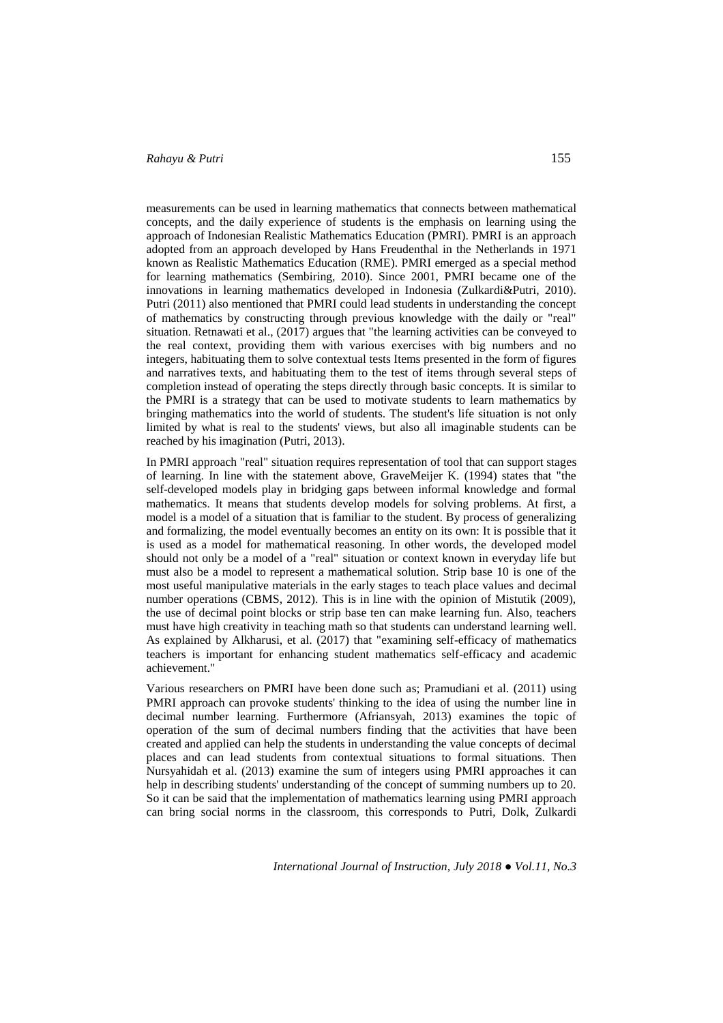## *Rahayu & Putri* 155

measurements can be used in learning mathematics that connects between mathematical concepts, and the daily experience of students is the emphasis on learning using the approach of Indonesian Realistic Mathematics Education (PMRI). PMRI is an approach adopted from an approach developed by Hans Freudenthal in the Netherlands in 1971 known as Realistic Mathematics Education (RME). PMRI emerged as a special method for learning mathematics (Sembiring, 2010). Since 2001, PMRI became one of the innovations in learning mathematics developed in Indonesia (Zulkardi&Putri, 2010). Putri (2011) also mentioned that PMRI could lead students in understanding the concept of mathematics by constructing through previous knowledge with the daily or "real" situation. Retnawati et al., (2017) argues that "the learning activities can be conveyed to the real context, providing them with various exercises with big numbers and no integers, habituating them to solve contextual tests Items presented in the form of figures and narratives texts, and habituating them to the test of items through several steps of completion instead of operating the steps directly through basic concepts. It is similar to the PMRI is a strategy that can be used to motivate students to learn mathematics by bringing mathematics into the world of students. The student's life situation is not only limited by what is real to the students' views, but also all imaginable students can be reached by his imagination (Putri, 2013).

In PMRI approach "real" situation requires representation of tool that can support stages of learning. In line with the statement above, GraveMeijer K. (1994) states that "the self-developed models play in bridging gaps between informal knowledge and formal mathematics. It means that students develop models for solving problems. At first, a model is a model of a situation that is familiar to the student. By process of generalizing and formalizing, the model eventually becomes an entity on its own: It is possible that it is used as a model for mathematical reasoning. In other words, the developed model should not only be a model of a "real" situation or context known in everyday life but must also be a model to represent a mathematical solution. Strip base 10 is one of the most useful manipulative materials in the early stages to teach place values and decimal number operations (CBMS, 2012). This is in line with the opinion of Mistutik (2009), the use of decimal point blocks or strip base ten can make learning fun. Also, teachers must have high creativity in teaching math so that students can understand learning well. As explained by Alkharusi, et al. (2017) that "examining self-efficacy of mathematics teachers is important for enhancing student mathematics self-efficacy and academic achievement."

Various researchers on PMRI have been done such as; Pramudiani et al. (2011) using PMRI approach can provoke students' thinking to the idea of using the number line in decimal number learning. Furthermore (Afriansyah, 2013) examines the topic of operation of the sum of decimal numbers finding that the activities that have been created and applied can help the students in understanding the value concepts of decimal places and can lead students from contextual situations to formal situations. Then Nursyahidah et al. (2013) examine the sum of integers using PMRI approaches it can help in describing students' understanding of the concept of summing numbers up to 20. So it can be said that the implementation of mathematics learning using PMRI approach can bring social norms in the classroom, this corresponds to Putri, Dolk, Zulkardi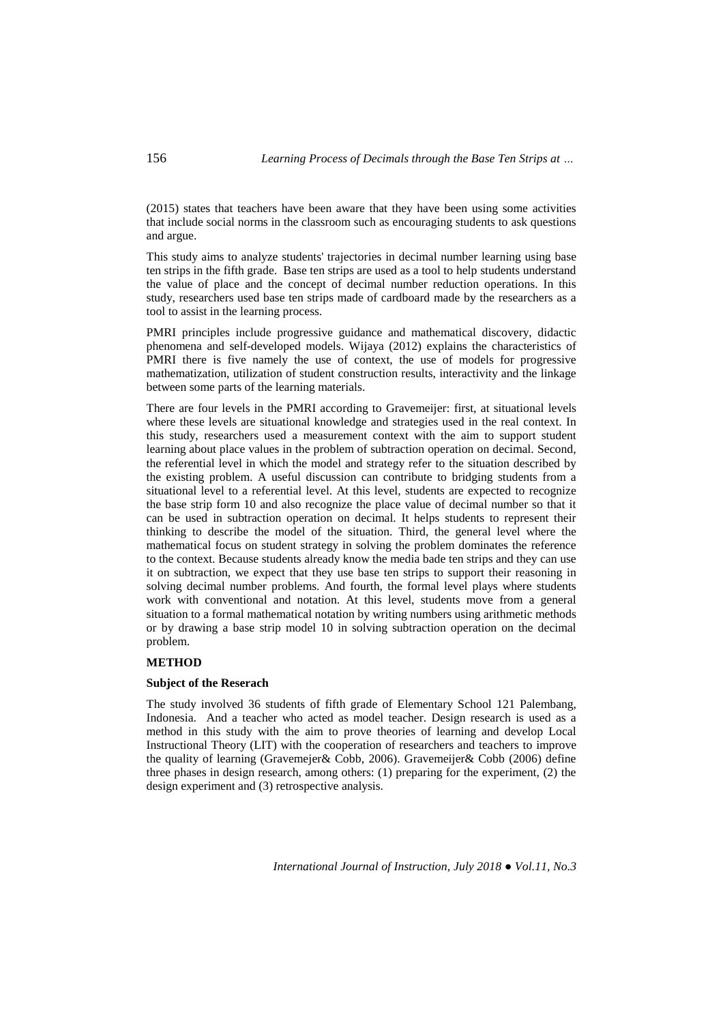(2015) states that teachers have been aware that they have been using some activities that include social norms in the classroom such as encouraging students to ask questions and argue.

This study aims to analyze students' trajectories in decimal number learning using base ten strips in the fifth grade. Base ten strips are used as a tool to help students understand the value of place and the concept of decimal number reduction operations. In this study, researchers used base ten strips made of cardboard made by the researchers as a tool to assist in the learning process.

PMRI principles include progressive guidance and mathematical discovery, didactic phenomena and self-developed models. Wijaya (2012) explains the characteristics of PMRI there is five namely the use of context, the use of models for progressive mathematization, utilization of student construction results, interactivity and the linkage between some parts of the learning materials.

There are four levels in the PMRI according to Gravemeijer: first, at situational levels where these levels are situational knowledge and strategies used in the real context. In this study, researchers used a measurement context with the aim to support student learning about place values in the problem of subtraction operation on decimal. Second, the referential level in which the model and strategy refer to the situation described by the existing problem. A useful discussion can contribute to bridging students from a situational level to a referential level. At this level, students are expected to recognize the base strip form 10 and also recognize the place value of decimal number so that it can be used in subtraction operation on decimal. It helps students to represent their thinking to describe the model of the situation. Third, the general level where the mathematical focus on student strategy in solving the problem dominates the reference to the context. Because students already know the media bade ten strips and they can use it on subtraction, we expect that they use base ten strips to support their reasoning in solving decimal number problems. And fourth, the formal level plays where students work with conventional and notation. At this level, students move from a general situation to a formal mathematical notation by writing numbers using arithmetic methods or by drawing a base strip model 10 in solving subtraction operation on the decimal problem.

## **METHOD**

## **Subject of the Reserach**

The study involved 36 students of fifth grade of Elementary School 121 Palembang, Indonesia. And a teacher who acted as model teacher. Design research is used as a method in this study with the aim to prove theories of learning and develop Local Instructional Theory (LIT) with the cooperation of researchers and teachers to improve the quality of learning (Gravemejer& Cobb, 2006). Gravemeijer& Cobb (2006) define three phases in design research, among others: (1) preparing for the experiment, (2) the design experiment and (3) retrospective analysis.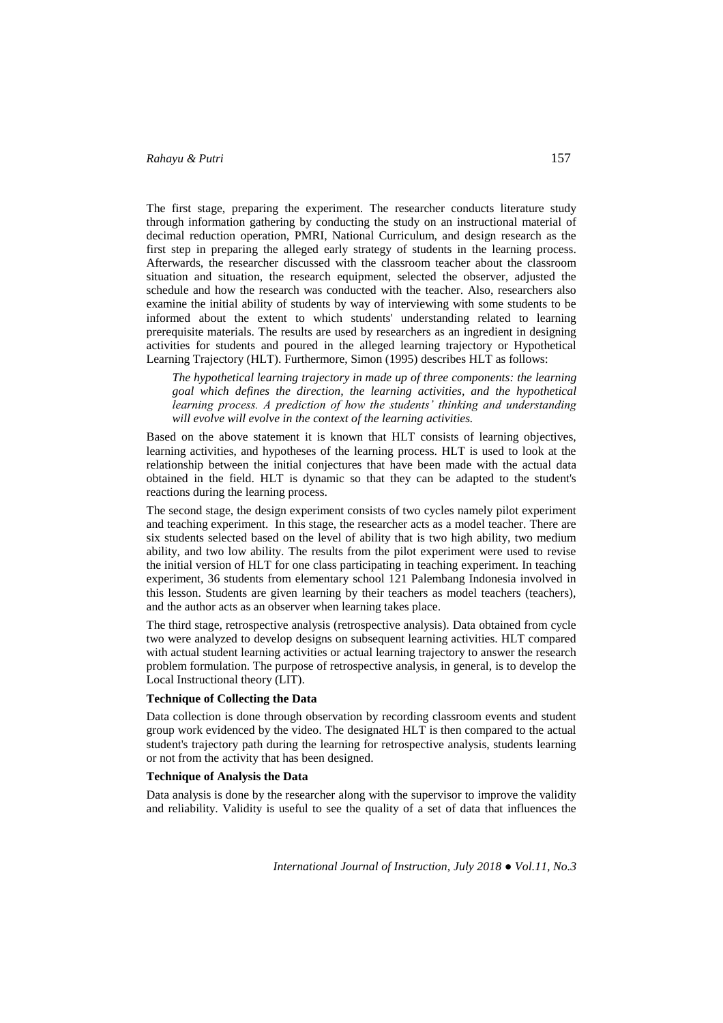## *Rahayu & Putri* 157

The first stage, preparing the experiment. The researcher conducts literature study through information gathering by conducting the study on an instructional material of decimal reduction operation, PMRI, National Curriculum, and design research as the first step in preparing the alleged early strategy of students in the learning process. Afterwards, the researcher discussed with the classroom teacher about the classroom situation and situation, the research equipment, selected the observer, adjusted the schedule and how the research was conducted with the teacher. Also, researchers also examine the initial ability of students by way of interviewing with some students to be informed about the extent to which students' understanding related to learning prerequisite materials. The results are used by researchers as an ingredient in designing activities for students and poured in the alleged learning trajectory or Hypothetical Learning Trajectory (HLT). Furthermore, Simon (1995) describes HLT as follows:

*The hypothetical learning trajectory in made up of three components: the learning goal which defines the direction, the learning activities, and the hypothetical learning process. A prediction of how the students' thinking and understanding will evolve will evolve in the context of the learning activities.* 

Based on the above statement it is known that HLT consists of learning objectives, learning activities, and hypotheses of the learning process. HLT is used to look at the relationship between the initial conjectures that have been made with the actual data obtained in the field. HLT is dynamic so that they can be adapted to the student's reactions during the learning process.

The second stage, the design experiment consists of two cycles namely pilot experiment and teaching experiment. In this stage, the researcher acts as a model teacher. There are six students selected based on the level of ability that is two high ability, two medium ability, and two low ability. The results from the pilot experiment were used to revise the initial version of HLT for one class participating in teaching experiment. In teaching experiment, 36 students from elementary school 121 Palembang Indonesia involved in this lesson. Students are given learning by their teachers as model teachers (teachers), and the author acts as an observer when learning takes place.

The third stage, retrospective analysis (retrospective analysis). Data obtained from cycle two were analyzed to develop designs on subsequent learning activities. HLT compared with actual student learning activities or actual learning trajectory to answer the research problem formulation. The purpose of retrospective analysis, in general, is to develop the Local Instructional theory (LIT).

#### **Technique of Collecting the Data**

Data collection is done through observation by recording classroom events and student group work evidenced by the video. The designated HLT is then compared to the actual student's trajectory path during the learning for retrospective analysis, students learning or not from the activity that has been designed.

### **Technique of Analysis the Data**

Data analysis is done by the researcher along with the supervisor to improve the validity and reliability. Validity is useful to see the quality of a set of data that influences the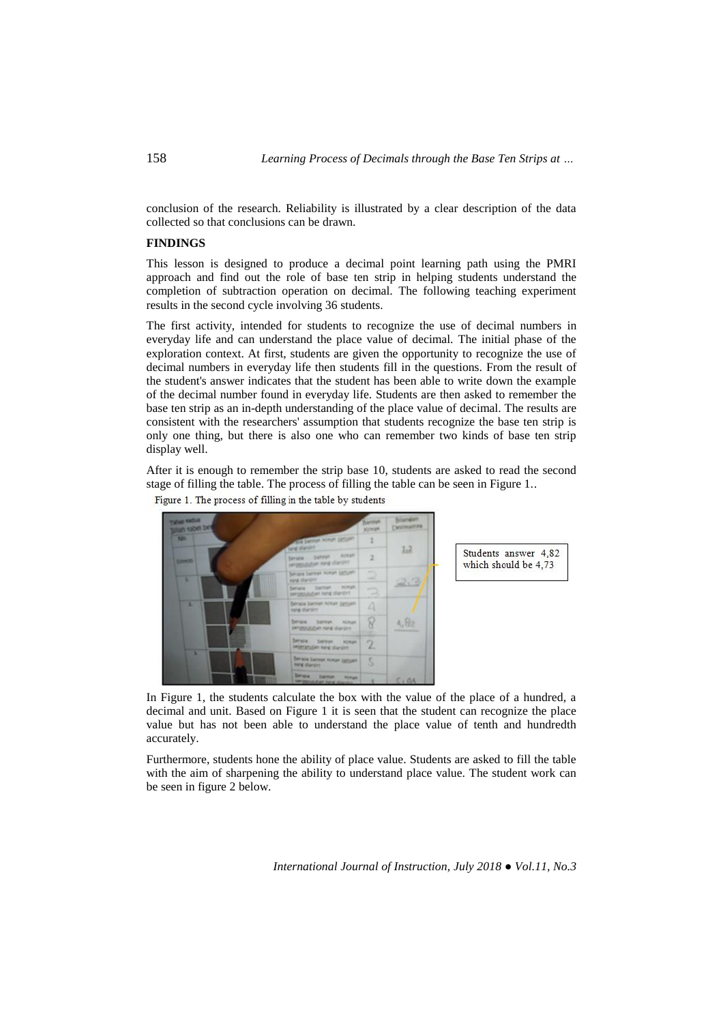conclusion of the research. Reliability is illustrated by a clear description of the data collected so that conclusions can be drawn.

### **FINDINGS**

This lesson is designed to produce a decimal point learning path using the PMRI approach and find out the role of base ten strip in helping students understand the completion of subtraction operation on decimal. The following teaching experiment results in the second cycle involving 36 students.

The first activity, intended for students to recognize the use of decimal numbers in everyday life and can understand the place value of decimal. The initial phase of the exploration context. At first, students are given the opportunity to recognize the use of decimal numbers in everyday life then students fill in the questions. From the result of the student's answer indicates that the student has been able to write down the example of the decimal number found in everyday life. Students are then asked to remember the base ten strip as an in-depth understanding of the place value of decimal. The results are consistent with the researchers' assumption that students recognize the base ten strip is only one thing, but there is also one who can remember two kinds of base ten strip display well.

After it is enough to remember the strip base 10, students are asked to read the second stage of filling the table. The process of filling the table can be seen in Figure 1.. Figure 1. The process of filling in the table by students



In Figure 1, the students calculate the box with the value of the place of a hundred, a decimal and unit. Based on Figure 1 it is seen that the student can recognize the place value but has not been able to understand the place value of tenth and hundredth accurately.

Furthermore, students hone the ability of place value. Students are asked to fill the table with the aim of sharpening the ability to understand place value. The student work can be seen in figure 2 below.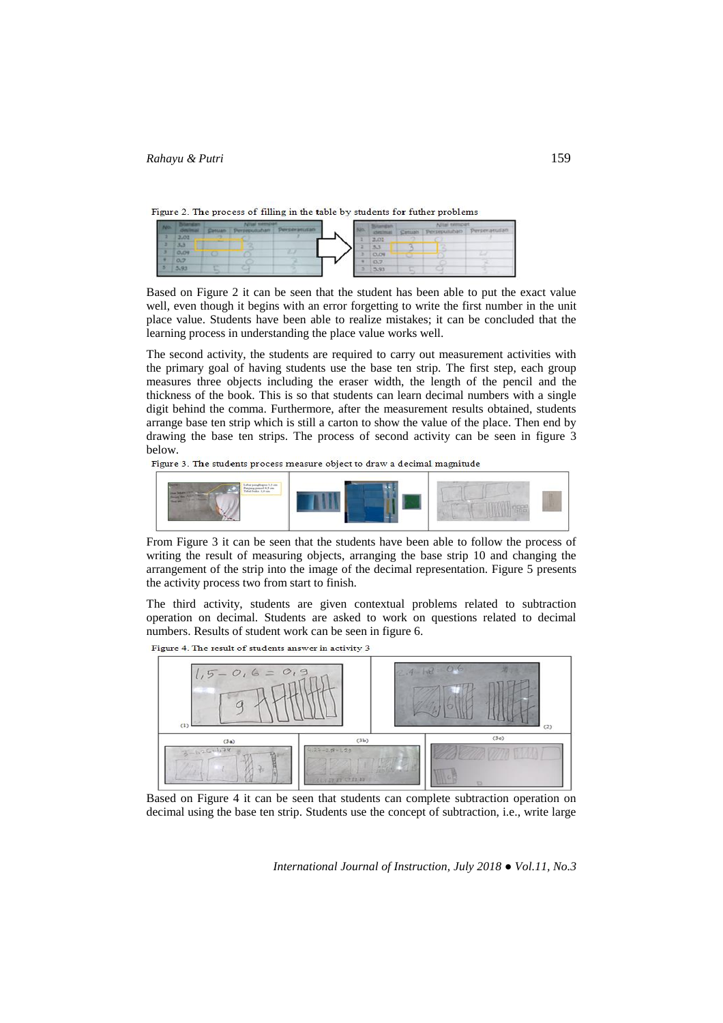# *Rahayu & Putri* 159

Figure 2. The process of filling in the table by students for futher problems



Based on Figure 2 it can be seen that the student has been able to put the exact value well, even though it begins with an error forgetting to write the first number in the unit place value. Students have been able to realize mistakes; it can be concluded that the learning process in understanding the place value works well.

The second activity, the students are required to carry out measurement activities with the primary goal of having students use the base ten strip. The first step, each group measures three objects including the eraser width, the length of the pencil and the thickness of the book. This is so that students can learn decimal numbers with a single digit behind the comma. Furthermore, after the measurement results obtained, students arrange base ten strip which is still a carton to show the value of the place. Then end by drawing the base ten strips. The process of second activity can be seen in figure 3 below.

Figure 3. The students process measure object to draw a decimal magnitude



From Figure 3 it can be seen that the students have been able to follow the process of writing the result of measuring objects, arranging the base strip 10 and changing the arrangement of the strip into the image of the decimal representation. Figure 5 presents the activity process two from start to finish.

The third activity, students are given contextual problems related to subtraction operation on decimal. Students are asked to work on questions related to decimal numbers. Results of student work can be seen in figure 6.

Figure 4. The result of students answer in activity 3



Based on Figure 4 it can be seen that students can complete subtraction operation on decimal using the base ten strip. Students use the concept of subtraction, i.e., write large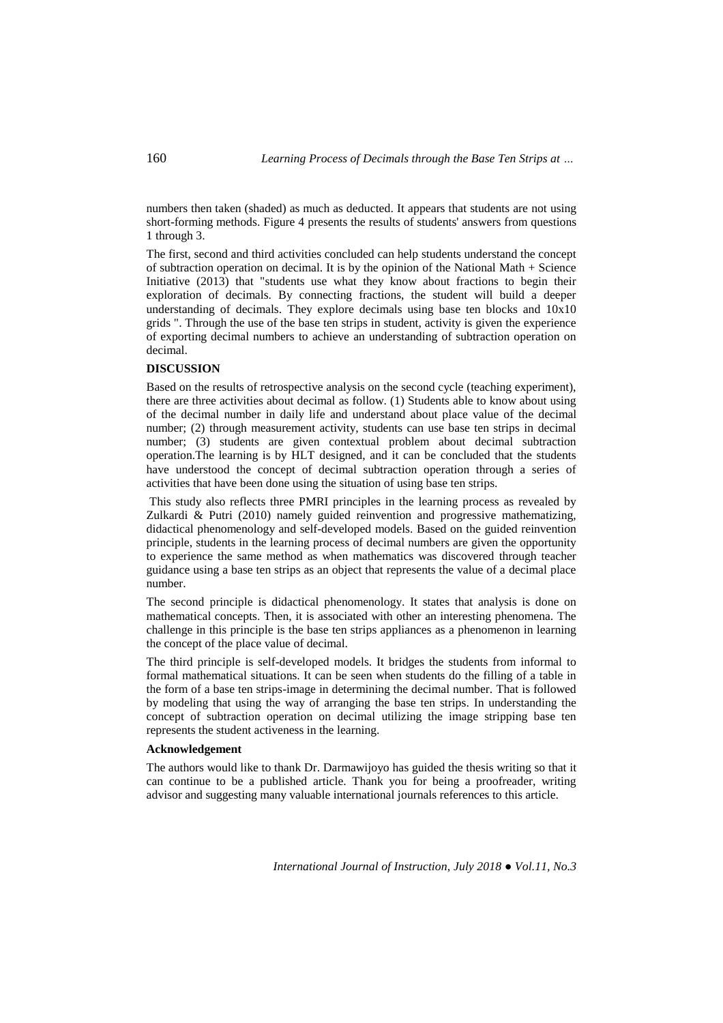numbers then taken (shaded) as much as deducted. It appears that students are not using short-forming methods. Figure 4 presents the results of students' answers from questions 1 through 3.

The first, second and third activities concluded can help students understand the concept of subtraction operation on decimal. It is by the opinion of the National Math + Science Initiative (2013) that "students use what they know about fractions to begin their exploration of decimals. By connecting fractions, the student will build a deeper understanding of decimals. They explore decimals using base ten blocks and 10x10 grids ". Through the use of the base ten strips in student, activity is given the experience of exporting decimal numbers to achieve an understanding of subtraction operation on decimal.

## **DISCUSSION**

Based on the results of retrospective analysis on the second cycle (teaching experiment), there are three activities about decimal as follow. (1) Students able to know about using of the decimal number in daily life and understand about place value of the decimal number; (2) through measurement activity, students can use base ten strips in decimal number; (3) students are given contextual problem about decimal subtraction operation.The learning is by HLT designed, and it can be concluded that the students have understood the concept of decimal subtraction operation through a series of activities that have been done using the situation of using base ten strips.

This study also reflects three PMRI principles in the learning process as revealed by Zulkardi & Putri (2010) namely guided reinvention and progressive mathematizing, didactical phenomenology and self-developed models. Based on the guided reinvention principle, students in the learning process of decimal numbers are given the opportunity to experience the same method as when mathematics was discovered through teacher guidance using a base ten strips as an object that represents the value of a decimal place number.

The second principle is didactical phenomenology. It states that analysis is done on mathematical concepts. Then, it is associated with other an interesting phenomena. The challenge in this principle is the base ten strips appliances as a phenomenon in learning the concept of the place value of decimal.

The third principle is self-developed models. It bridges the students from informal to formal mathematical situations. It can be seen when students do the filling of a table in the form of a base ten strips-image in determining the decimal number. That is followed by modeling that using the way of arranging the base ten strips. In understanding the concept of subtraction operation on decimal utilizing the image stripping base ten represents the student activeness in the learning.

## **Acknowledgement**

The authors would like to thank Dr. Darmawijoyo has guided the thesis writing so that it can continue to be a published article. Thank you for being a proofreader, writing advisor and suggesting many valuable international journals references to this article.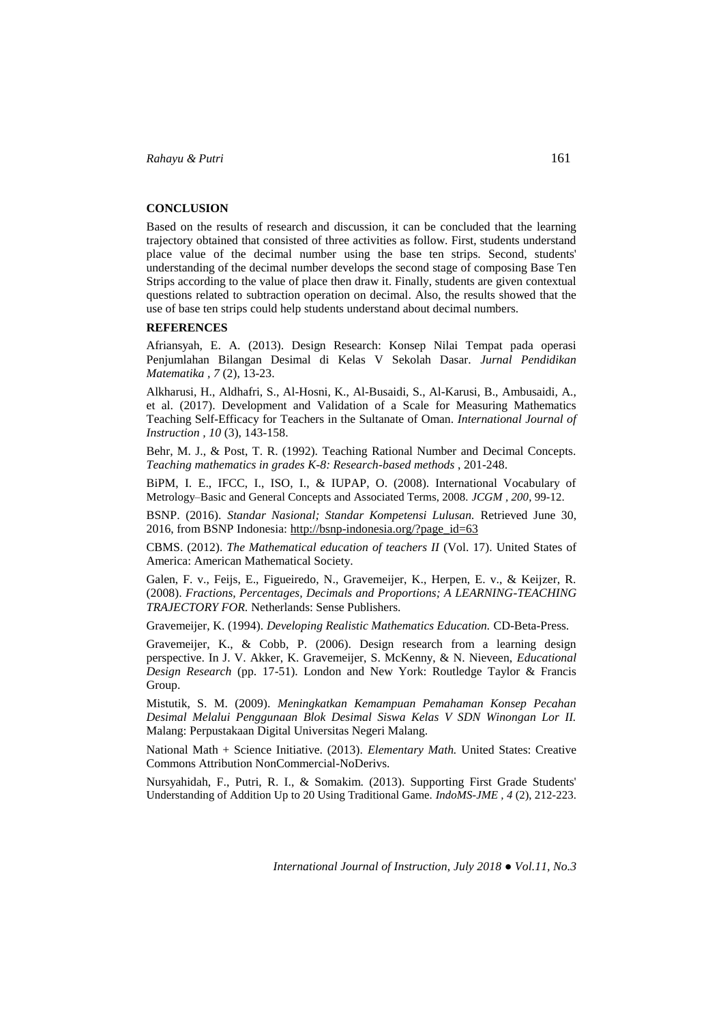## **CONCLUSION**

Based on the results of research and discussion, it can be concluded that the learning trajectory obtained that consisted of three activities as follow. First, students understand place value of the decimal number using the base ten strips. Second, students' understanding of the decimal number develops the second stage of composing Base Ten Strips according to the value of place then draw it. Finally, students are given contextual questions related to subtraction operation on decimal. Also, the results showed that the use of base ten strips could help students understand about decimal numbers.

#### **REFERENCES**

Afriansyah, E. A. (2013). Design Research: Konsep Nilai Tempat pada operasi Penjumlahan Bilangan Desimal di Kelas V Sekolah Dasar. *Jurnal Pendidikan Matematika , 7* (2), 13-23.

Alkharusi, H., Aldhafri, S., Al-Hosni, K., Al-Busaidi, S., Al-Karusi, B., Ambusaidi, A., et al. (2017). Development and Validation of a Scale for Measuring Mathematics Teaching Self-Efficacy for Teachers in the Sultanate of Oman. *International Journal of Instruction , 10* (3), 143-158.

Behr, M. J., & Post, T. R. (1992). Teaching Rational Number and Decimal Concepts. *Teaching mathematics in grades K-8: Research-based methods* , 201-248.

BiPM, I. E., IFCC, I., ISO, I., & IUPAP, O. (2008). International Vocabulary of Metrology–Basic and General Concepts and Associated Terms, 2008. *JCGM , 200*, 99-12.

BSNP. (2016). *Standar Nasional; Standar Kompetensi Lulusan.* Retrieved June 30, 2016, from BSNP Indonesia: [http://bsnp-indonesia.org/?page\\_id=63](http://bsnp-indonesia.org/?page_id=63)

CBMS. (2012). *The Mathematical education of teachers II* (Vol. 17). United States of America: American Mathematical Society.

Galen, F. v., Feijs, E., Figueiredo, N., Gravemeijer, K., Herpen, E. v., & Keijzer, R. (2008). *Fractions, Percentages, Decimals and Proportions; A LEARNING-TEACHING TRAJECTORY FOR.* Netherlands: Sense Publishers.

Gravemeijer, K. (1994). *Developing Realistic Mathematics Education.* CD-Beta-Press.

Gravemeijer, K., & Cobb, P. (2006). Design research from a learning design perspective. In J. V. Akker, K. Gravemeijer, S. McKenny, & N. Nieveen, *Educational Design Research* (pp. 17-51). London and New York: Routledge Taylor & Francis Group.

Mistutik, S. M. (2009). *Meningkatkan Kemampuan Pemahaman Konsep Pecahan Desimal Melalui Penggunaan Blok Desimal Siswa Kelas V SDN Winongan Lor II.* Malang: Perpustakaan Digital Universitas Negeri Malang.

National Math + Science Initiative. (2013). *Elementary Math.* United States: Creative Commons Attribution NonCommercial-NoDerivs.

Nursyahidah, F., Putri, R. I., & Somakim. (2013). Supporting First Grade Students' Understanding of Addition Up to 20 Using Traditional Game. *IndoMS-JME , 4* (2), 212-223.